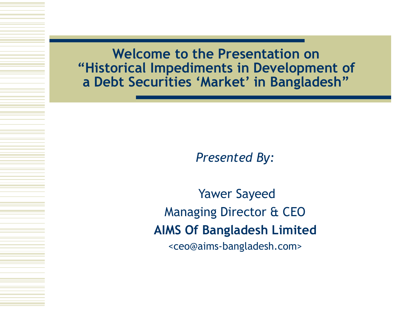**Welcome to the Presentation on "Historical Impediments in Development of a Debt Securities 'Market' in Bangladesh"** 

*Presented By:*

Yawer Sayeed Managing Director & CEO **AIMS Of Bangladesh Limited** <ceo@aims-bangladesh.com>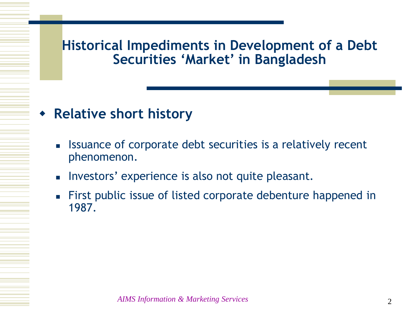## **Relative short history**

- **EXE** Issuance of corporate debt securities is a relatively recent phenomenon.
- **Investors' experience is also not quite pleasant.**
- First public issue of listed corporate debenture happened in 1987.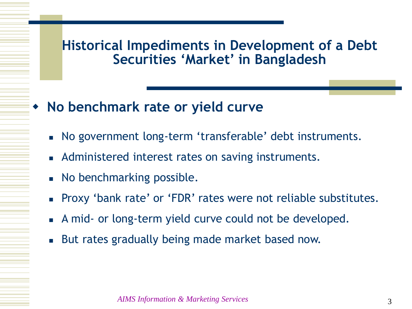- **No benchmark rate or yield curve**
	- No government long-term 'transferable' debt instruments.
	- **Administered interest rates on saving instruments.**
	- No benchmarking possible.
	- **Proxy 'bank rate' or 'FDR' rates were not reliable substitutes.**
	- A mid- or long-term yield curve could not be developed.
	- But rates gradually being made market based now.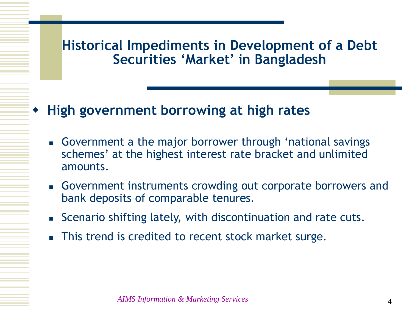# **High government borrowing at high rates**

- Government a the major borrower through 'national savings schemes' at the highest interest rate bracket and unlimited amounts.
- Government instruments crowding out corporate borrowers and bank deposits of comparable tenures.
- **EXEC** Scenario shifting lately, with discontinuation and rate cuts.
- This trend is credited to recent stock market surge.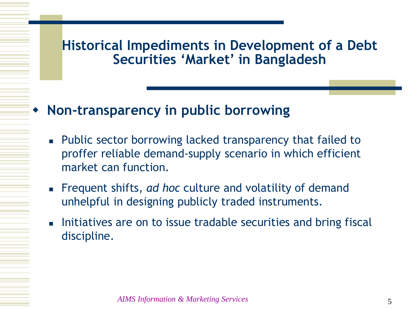## **Non-transparency in public borrowing**

- **Public sector borrowing lacked transparency that failed to** proffer reliable demand-supply scenario in which efficient market can function.
- Frequent shifts, *ad hoc* culture and volatility of demand unhelpful in designing publicly traded instruments.
- Initiatives are on to issue tradable securities and bring fiscal discipline.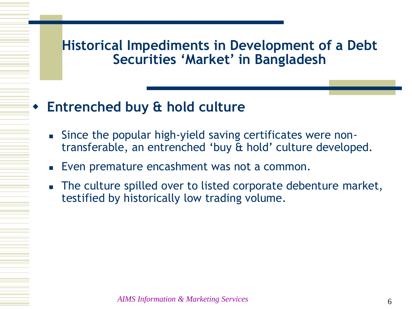# **Entrenched buy & hold culture**

- Since the popular high-yield saving certificates were nontransferable, an entrenched 'buy & hold' culture developed.
- Even premature encashment was not a common.
- The culture spilled over to listed corporate debenture market, testified by historically low trading volume.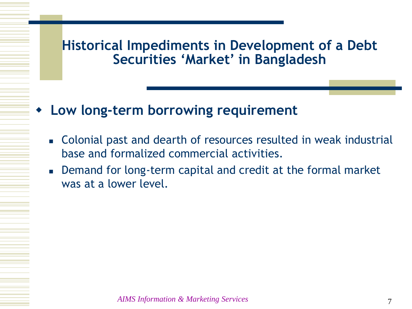- **Low long-term borrowing requirement**
	- Colonial past and dearth of resources resulted in weak industrial base and formalized commercial activities.
	- Demand for long-term capital and credit at the formal market was at a lower level.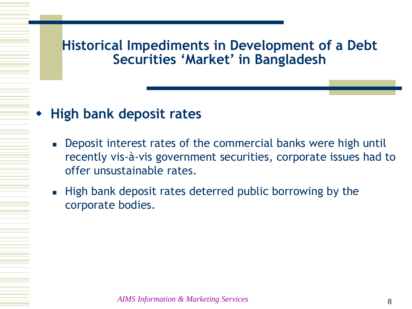## **High bank deposit rates**

- **Deposit interest rates of the commercial banks were high untilly** recently vis-à-vis government securities, corporate issues had to offer unsustainable rates.
- **High bank deposit rates deterred public borrowing by the** corporate bodies.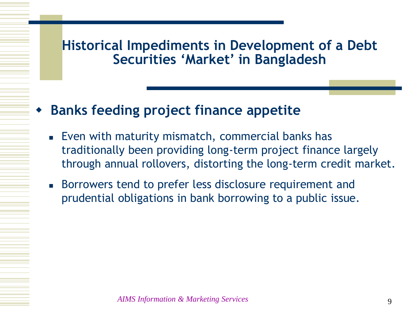## **Banks feeding project finance appetite**

- **Even with maturity mismatch, commercial banks has** traditionally been providing long-term project finance largely through annual rollovers, distorting the long-term credit market.
- Borrowers tend to prefer less disclosure requirement and prudential obligations in bank borrowing to a public issue.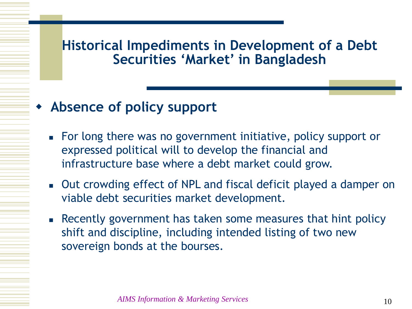## **Absence of policy support**

- For long there was no government initiative, policy support or expressed political will to develop the financial and infrastructure base where a debt market could grow.
- Out crowding effect of NPL and fiscal deficit played a damper on viable debt securities market development.
- Recently government has taken some measures that hint policy shift and discipline, including intended listing of two new sovereign bonds at the bourses.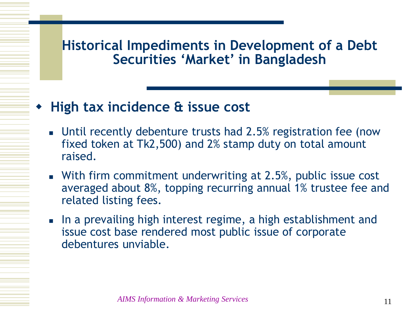## **High tax incidence & issue cost**

- Until recently debenture trusts had 2.5% registration fee (now fixed token at Tk2,500) and 2% stamp duty on total amount raised.
- **With firm commitment underwriting at 2.5%, public issue cost** averaged about 8%, topping recurring annual 1% trustee fee and related listing fees.
- In a prevailing high interest regime, a high establishment and issue cost base rendered most public issue of corporate debentures unviable.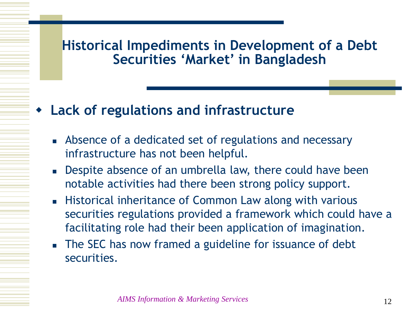## **Lack of regulations and infrastructure**

- Absence of a dedicated set of regulations and necessary infrastructure has not been helpful.
- **Despite absence of an umbrella law, there could have been** notable activities had there been strong policy support.
- **Historical inheritance of Common Law along with various** securities regulations provided a framework which could have a facilitating role had their been application of imagination.
- The SEC has now framed a guideline for issuance of debt securities.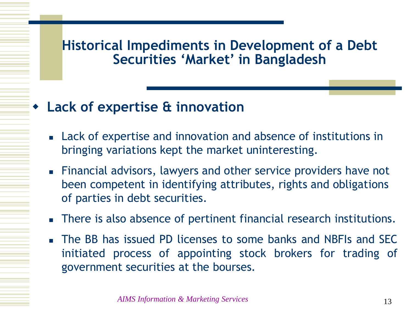## **Lack of expertise & innovation**

- Lack of expertise and innovation and absence of institutions in bringing variations kept the market uninteresting.
- Financial advisors, lawyers and other service providers have not been competent in identifying attributes, rights and obligations of parties in debt securities.
- There is also absence of pertinent financial research institutions.
- The BB has issued PD licenses to some banks and NBFIs and SEC initiated process of appointing stock brokers for trading of government securities at the bourses.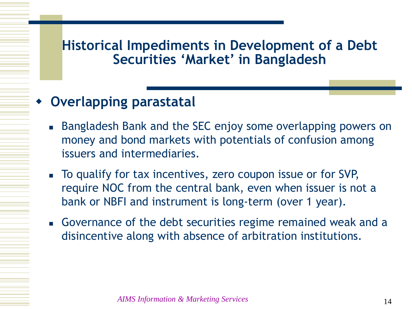# **Overlapping parastatal**

- Bangladesh Bank and the SEC enjoy some overlapping powers on money and bond markets with potentials of confusion among issuers and intermediaries.
- To qualify for tax incentives, zero coupon issue or for SVP, require NOC from the central bank, even when issuer is not a bank or NBFI and instrument is long-term (over 1 year).
- Governance of the debt securities regime remained weak and a disincentive along with absence of arbitration institutions.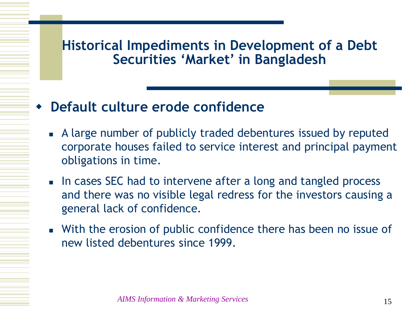## **Default culture erode confidence**

- A large number of publicly traded debentures issued by reputed corporate houses failed to service interest and principal payment obligations in time.
- In cases SEC had to intervene after a long and tangled process and there was no visible legal redress for the investors causing a general lack of confidence.
- With the erosion of public confidence there has been no issue of new listed debentures since 1999.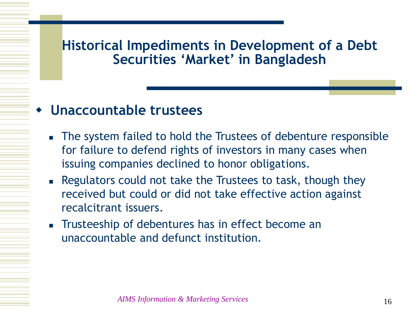#### **Unaccountable trustees**

- The system failed to hold the Trustees of debenture responsible for failure to defend rights of investors in many cases when issuing companies declined to honor obligations.
- **Regulators could not take the Trustees to task, though they** received but could or did not take effective action against recalcitrant issuers.
- **Trusteeship of debentures has in effect become an** unaccountable and defunct institution.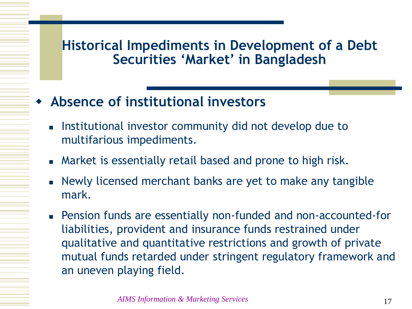- **Absence of institutional investors**
	- Institutional investor community did not develop due to multifarious impediments.
	- Market is essentially retail based and prone to high risk.
	- Newly licensed merchant banks are yet to make any tangible mark.
	- Pension funds are essentially non-funded and non-accounted-for liabilities, provident and insurance funds restrained under qualitative and quantitative restrictions and growth of private mutual funds retarded under stringent regulatory framework and an uneven playing field.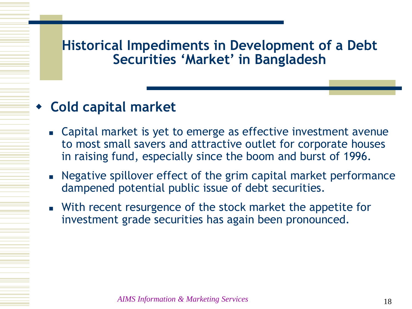# **Cold capital market**

- Capital market is yet to emerge as effective investment avenue to most small savers and attractive outlet for corporate houses in raising fund, especially since the boom and burst of 1996.
- Negative spillover effect of the grim capital market performance dampened potential public issue of debt securities.
- **Number 1** With recent resurgence of the stock market the appetite for investment grade securities has again been pronounced.